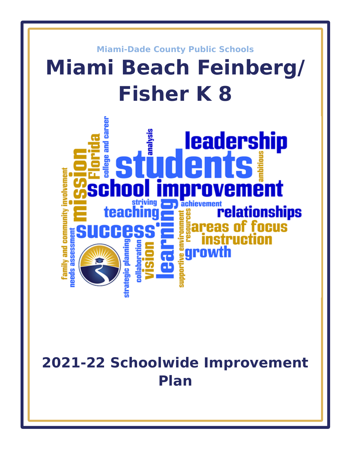

# **2021-22 Schoolwide Improvement Plan**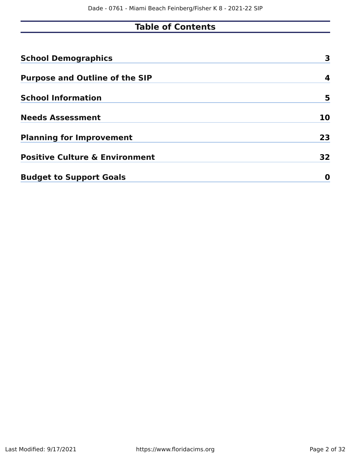# **Table of Contents**

| <b>School Demographics</b>                | 3  |
|-------------------------------------------|----|
| <b>Purpose and Outline of the SIP</b>     | 4  |
| <b>School Information</b>                 | 5  |
| <b>Needs Assessment</b>                   | 10 |
| <b>Planning for Improvement</b>           | 23 |
| <b>Positive Culture &amp; Environment</b> | 32 |
| <b>Budget to Support Goals</b>            | O  |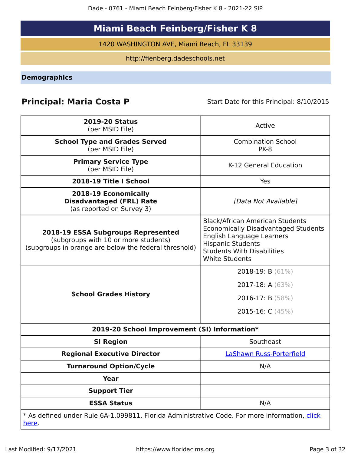# **Miami Beach Feinberg/Fisher K 8**

1420 WASHINGTON AVE, Miami Beach, FL 33139

http://fienberg.dadeschools.net

<span id="page-2-0"></span>**Demographics**

# **Principal: Maria Costa P** Start Date for this Principal: 8/10/2015

| <b>2019-20 Status</b><br>(per MSID File)                                                                                            | Active                                                                                                                                                                                                      |
|-------------------------------------------------------------------------------------------------------------------------------------|-------------------------------------------------------------------------------------------------------------------------------------------------------------------------------------------------------------|
| <b>School Type and Grades Served</b><br>(per MSID File)                                                                             | <b>Combination School</b><br><b>PK-8</b>                                                                                                                                                                    |
| <b>Primary Service Type</b><br>(per MSID File)                                                                                      | K-12 General Education                                                                                                                                                                                      |
| 2018-19 Title I School                                                                                                              | Yes                                                                                                                                                                                                         |
| 2018-19 Economically<br><b>Disadvantaged (FRL) Rate</b><br>(as reported on Survey 3)                                                | [Data Not Available]                                                                                                                                                                                        |
| 2018-19 ESSA Subgroups Represented<br>(subgroups with 10 or more students)<br>(subgroups in orange are below the federal threshold) | <b>Black/African American Students</b><br><b>Economically Disadvantaged Students</b><br>English Language Learners<br><b>Hispanic Students</b><br><b>Students With Disabilities</b><br><b>White Students</b> |
| <b>School Grades History</b>                                                                                                        | 2018-19: B $(61\%)$<br>2017-18: A $(63%)$<br>2016-17: B $(58%)$<br>2015-16: $C(45%)$                                                                                                                        |
| 2019-20 School Improvement (SI) Information*                                                                                        |                                                                                                                                                                                                             |
| <b>SI Region</b>                                                                                                                    | Southeast                                                                                                                                                                                                   |
| <b>Regional Executive Director</b>                                                                                                  | LaShawn Russ-Porterfield                                                                                                                                                                                    |
| <b>Turnaround Option/Cycle</b>                                                                                                      | N/A                                                                                                                                                                                                         |
| <b>Year</b>                                                                                                                         |                                                                                                                                                                                                             |
| <b>Support Tier</b>                                                                                                                 |                                                                                                                                                                                                             |
| <b>ESSA Status</b>                                                                                                                  | N/A                                                                                                                                                                                                         |
| * As defined under Rule 6A-1.099811, Florida Administrative Code. For more information, click<br><u>here</u> .                      |                                                                                                                                                                                                             |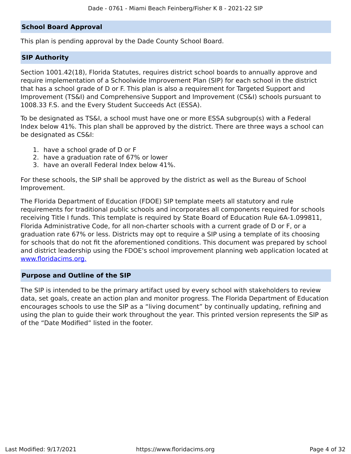#### **School Board Approval**

This plan is pending approval by the Dade County School Board.

#### **SIP Authority**

Section 1001.42(18), Florida Statutes, requires district school boards to annually approve and require implementation of a Schoolwide Improvement Plan (SIP) for each school in the district that has a school grade of D or F. This plan is also a requirement for Targeted Support and Improvement (TS&I) and Comprehensive Support and Improvement (CS&I) schools pursuant to 1008.33 F.S. and the Every Student Succeeds Act (ESSA).

To be designated as TS&I, a school must have one or more ESSA subgroup(s) with a Federal Index below 41%. This plan shall be approved by the district. There are three ways a school can be designated as CS&I:

- 1. have a school grade of D or F
- 2. have a graduation rate of 67% or lower
- 3. have an overall Federal Index below 41%.

For these schools, the SIP shall be approved by the district as well as the Bureau of School Improvement.

The Florida Department of Education (FDOE) SIP template meets all statutory and rule requirements for traditional public schools and incorporates all components required for schools receiving Title I funds. This template is required by State Board of Education Rule 6A-1.099811, Florida Administrative Code, for all non-charter schools with a current grade of D or F, or a graduation rate 67% or less. Districts may opt to require a SIP using a template of its choosing for schools that do not fit the aforementioned conditions. This document was prepared by school and district leadership using the FDOE's school improvement planning web application located at [www.floridacims.org.](https://www.floridacims.org)

#### <span id="page-3-0"></span>**Purpose and Outline of the SIP**

The SIP is intended to be the primary artifact used by every school with stakeholders to review data, set goals, create an action plan and monitor progress. The Florida Department of Education encourages schools to use the SIP as a "living document" by continually updating, refining and using the plan to guide their work throughout the year. This printed version represents the SIP as of the "Date Modified" listed in the footer.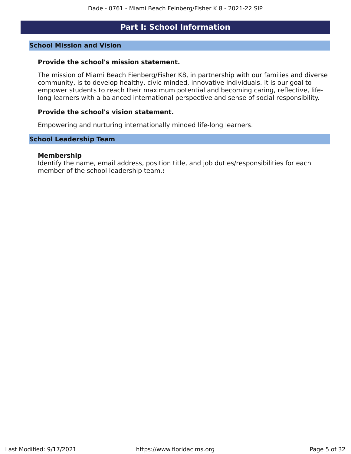### **Part I: School Information**

#### <span id="page-4-0"></span>**School Mission and Vision**

#### **Provide the school's mission statement.**

The mission of Miami Beach Fienberg/Fisher K8, in partnership with our families and diverse community, is to develop healthy, civic minded, innovative individuals. It is our goal to empower students to reach their maximum potential and becoming caring, reflective, lifelong learners with a balanced international perspective and sense of social responsibility.

#### **Provide the school's vision statement.**

Empowering and nurturing internationally minded life-long learners.

#### **School Leadership Team**

#### **Membership**

Identify the name, email address, position title, and job duties/responsibilities for each member of the school leadership team.**:**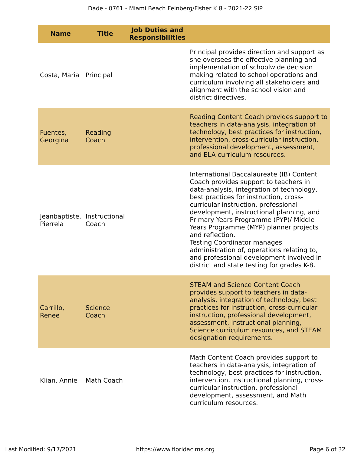| <b>Name</b>                             | <b>Title</b>            | <b>Job Duties and</b><br><b>Responsibilities</b> |                                                                                                                                                                                                                                                                                                                                                                                                                                                                                                                                                  |
|-----------------------------------------|-------------------------|--------------------------------------------------|--------------------------------------------------------------------------------------------------------------------------------------------------------------------------------------------------------------------------------------------------------------------------------------------------------------------------------------------------------------------------------------------------------------------------------------------------------------------------------------------------------------------------------------------------|
| Costa, Maria                            | Principal               |                                                  | Principal provides direction and support as<br>she oversees the effective planning and<br>implementation of schoolwide decision<br>making related to school operations and<br>curriculum involving all stakeholders and<br>alignment with the school vision and<br>district directives.                                                                                                                                                                                                                                                          |
| Fuentes,<br>Georgina                    | Reading<br>Coach        |                                                  | Reading Content Coach provides support to<br>teachers in data-analysis, integration of<br>technology, best practices for instruction,<br>intervention, cross-curricular instruction,<br>professional development, assessment,<br>and ELA curriculum resources.                                                                                                                                                                                                                                                                                   |
| Jeanbaptiste, Instructional<br>Pierrela | Coach                   |                                                  | International Baccalaureate (IB) Content<br>Coach provides support to teachers in<br>data-analysis, integration of technology,<br>best practices for instruction, cross-<br>curricular instruction, professional<br>development, instructional planning, and<br>Primary Years Programme (PYP)/ Middle<br>Years Programme (MYP) planner projects<br>and reflection.<br><b>Testing Coordinator manages</b><br>administration of, operations relating to,<br>and professional development involved in<br>district and state testing for grades K-8. |
| Carrillo,<br>Renee                      | <b>Science</b><br>Coach |                                                  | <b>STEAM and Science Content Coach</b><br>provides support to teachers in data-<br>analysis, integration of technology, best<br>practices for instruction, cross-curricular<br>instruction, professional development,<br>assessment, instructional planning,<br>Science curriculum resources, and STEAM<br>designation requirements.                                                                                                                                                                                                             |
| Klian, Annie                            | Math Coach              |                                                  | Math Content Coach provides support to<br>teachers in data-analysis, integration of<br>technology, best practices for instruction,<br>intervention, instructional planning, cross-<br>curricular instruction, professional<br>development, assessment, and Math<br>curriculum resources.                                                                                                                                                                                                                                                         |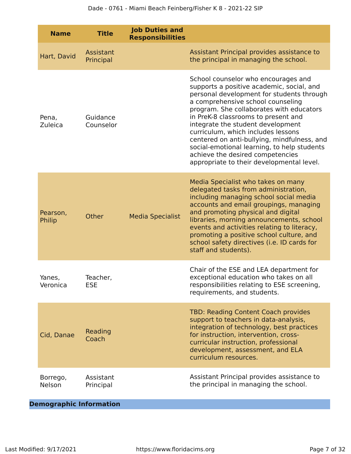| <b>Name</b>        | <b>Title</b>           | <b>Job Duties and</b><br><b>Responsibilities</b> |                                                                                                                                                                                                                                                                                                                                                                                                                                                                                                                 |
|--------------------|------------------------|--------------------------------------------------|-----------------------------------------------------------------------------------------------------------------------------------------------------------------------------------------------------------------------------------------------------------------------------------------------------------------------------------------------------------------------------------------------------------------------------------------------------------------------------------------------------------------|
| Hart, David        | Assistant<br>Principal |                                                  | Assistant Principal provides assistance to<br>the principal in managing the school.                                                                                                                                                                                                                                                                                                                                                                                                                             |
| Pena,<br>Zuleica   | Guidance<br>Counselor  |                                                  | School counselor who encourages and<br>supports a positive academic, social, and<br>personal development for students through<br>a comprehensive school counseling<br>program. She collaborates with educators<br>in PreK-8 classrooms to present and<br>integrate the student development<br>curriculum, which includes lessons<br>centered on anti-bullying, mindfulness, and<br>social-emotional learning, to help students<br>achieve the desired competencies<br>appropriate to their developmental level. |
| Pearson,<br>Philip | Other                  | <b>Media Specialist</b>                          | Media Specialist who takes on many<br>delegated tasks from administration,<br>including managing school social media<br>accounts and email groupings, managing<br>and promoting physical and digital<br>libraries, morning announcements, school<br>events and activities relating to literacy,<br>promoting a positive school culture, and<br>school safety directives (i.e. ID cards for<br>staff and students).                                                                                              |
| Yanes,<br>Veronica | Teacher,<br><b>ESE</b> |                                                  | Chair of the ESE and LEA department for<br>exceptional education who takes on all<br>responsibilities relating to ESE screening,<br>requirements, and students.                                                                                                                                                                                                                                                                                                                                                 |
| Cid, Danae         | Reading<br>Coach       |                                                  | <b>TBD: Reading Content Coach provides</b><br>support to teachers in data-analysis,<br>integration of technology, best practices<br>for instruction, intervention, cross-<br>curricular instruction, professional<br>development, assessment, and ELA<br>curriculum resources.                                                                                                                                                                                                                                  |
| Borrego,<br>Nelson | Assistant<br>Principal |                                                  | Assistant Principal provides assistance to<br>the principal in managing the school.                                                                                                                                                                                                                                                                                                                                                                                                                             |

**Demographic Information**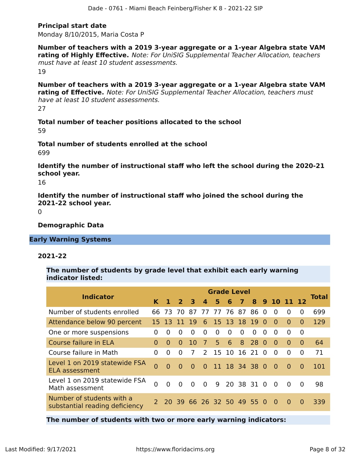#### **Principal start date**

Monday 8/10/2015, Maria Costa P

**Number of teachers with a 2019 3-year aggregate or a 1-year Algebra state VAM rating of Highly Effective.** Note: For UniSIG Supplemental Teacher Allocation, teachers must have at least 10 student assessments.

19

**Number of teachers with a 2019 3-year aggregate or a 1-year Algebra state VAM rating of Effective.** Note: For UniSIG Supplemental Teacher Allocation, teachers must have at least 10 student assessments. 27

**Total number of teacher positions allocated to the school** 59

**Total number of students enrolled at the school** 699

**Identify the number of instructional staff who left the school during the 2020-21 school year.**

16

**Identify the number of instructional staff who joined the school during the 2021-22 school year.**

 $\Omega$ 

**Demographic Data**

**Early Warning Systems**

#### **2021-22**

**The number of students by grade level that exhibit each early warning indicator listed:**

| <b>Indicator</b>                                            |          |                |                      |          |                |          | <b>Grade Level</b> |              |               |          |                |          |              | <b>Total</b> |
|-------------------------------------------------------------|----------|----------------|----------------------|----------|----------------|----------|--------------------|--------------|---------------|----------|----------------|----------|--------------|--------------|
|                                                             | K.       |                | 2 <sup>3</sup>       |          | $\mathbf{A}$   | 5.       | 6                  | $\mathbf{7}$ |               |          | 8 9 10 11 12   |          |              |              |
| Number of students enrolled                                 |          | 66 73 70       |                      | -87      | 77             |          | 77 76 87           |              | 86            | $\Omega$ | $\Omega$       | $\Omega$ | 0            | 699          |
| Attendance below 90 percent                                 |          | 15 13          | -11-                 | 19       | 6              |          | 15 13 18           |              | <sup>19</sup> | $\Omega$ | $\Omega$       | $\Omega$ | <sup>0</sup> | 129          |
| One or more suspensions                                     | 0        | 0              | $\Omega$             | $\Omega$ | 0              | $\Omega$ | 0                  | $\Omega$     | $\Omega$      | $\Omega$ | $\Omega$       | $\Omega$ | $\Omega$     |              |
| Course failure in ELA                                       | 0        | $\Omega$       | 0                    | 10       | 7              | 5.       | 6                  | 8            | 28            | $\Omega$ | $\Omega$       | $\Omega$ | $\Omega$     | 64           |
| Course failure in Math                                      | 0        | 0              | 0                    | 7        | $\mathcal{P}$  | 15       | <b>10</b>          | -16          | 21            | $\Omega$ | $\Omega$       | $\Omega$ | $\Omega$     | 71           |
| Level 1 on 2019 statewide FSA<br>ELA assessment             | $\Omega$ | $\Omega$       | 0                    | $\Omega$ | $\Omega$       |          |                    |              | 11 18 34 38 0 |          | - 0            | $\Omega$ | $\Omega$     | 101          |
| Level 1 on 2019 statewide FSA<br>Math assessment            | $\Omega$ | $\overline{0}$ | $\Omega$             | $\Omega$ | $\overline{0}$ | 9        |                    | 20 38 31     |               | - 0      | $\overline{0}$ | $\Omega$ | $\Omega$     | 98           |
| Number of students with a<br>substantial reading deficiency |          |                | 20 39 66 26 32 50 49 |          |                |          |                    |              | 550           |          | $\Omega$       | $\Omega$ | $\Omega$     | 339          |

**The number of students with two or more early warning indicators:**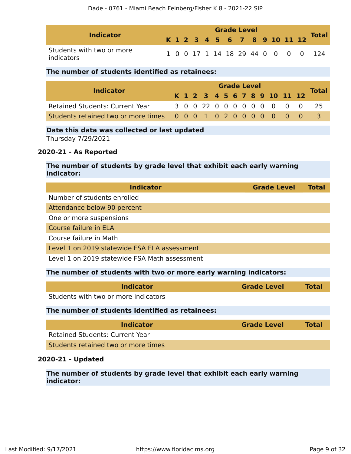| <b>Indicator</b>                        | <b>Grade Level</b> |  |  |  |  |  |  |  |  |  |  |  |                              |                                    |
|-----------------------------------------|--------------------|--|--|--|--|--|--|--|--|--|--|--|------------------------------|------------------------------------|
|                                         |                    |  |  |  |  |  |  |  |  |  |  |  | K 1 2 3 4 5 6 7 8 9 10 11 12 | <b>Total</b>                       |
| Students with two or more<br>indicators |                    |  |  |  |  |  |  |  |  |  |  |  |                              | 1 0 0 17 1 14 18 29 44 0 0 0 0 124 |

#### **The number of students identified as retainees:**

|                                                                 | <b>Grade Level</b> |  |  |  |  |  |  |  |  |  |  |                              |                            |              |
|-----------------------------------------------------------------|--------------------|--|--|--|--|--|--|--|--|--|--|------------------------------|----------------------------|--------------|
| <b>Indicator</b>                                                |                    |  |  |  |  |  |  |  |  |  |  | K 1 2 3 4 5 6 7 8 9 10 11 12 |                            | <b>Total</b> |
| <b>Retained Students: Current Year</b>                          |                    |  |  |  |  |  |  |  |  |  |  |                              | 3 0 0 22 0 0 0 0 0 0 0 0 0 | - 25         |
| Students retained two or more times 0 0 0 1 0 2 0 0 0 0 0 0 0 0 |                    |  |  |  |  |  |  |  |  |  |  |                              |                            |              |

#### **Date this data was collected or last updated**

Thursday 7/29/2021

#### **2020-21 - As Reported**

#### **The number of students by grade level that exhibit each early warning indicator:**

| <b>Indicator</b>                                                  | <b>Grade Level</b> | <b>Total</b> |
|-------------------------------------------------------------------|--------------------|--------------|
| Number of students enrolled                                       |                    |              |
| Attendance below 90 percent                                       |                    |              |
| One or more suspensions                                           |                    |              |
| Course failure in ELA                                             |                    |              |
| Course failure in Math                                            |                    |              |
| Level 1 on 2019 statewide FSA ELA assessment                      |                    |              |
| Level 1 on 2019 statewide FSA Math assessment                     |                    |              |
| The number of students with two or more early warning indicators: |                    |              |
| <b>Indicator</b>                                                  | <b>Grade Level</b> | <b>Total</b> |
| Students with two or more indicators                              |                    |              |
| The number of students identified as retainees:                   |                    |              |
| <b>Indicator</b>                                                  | <b>Grade Level</b> | Total        |
| <b>Retained Students: Current Year</b>                            |                    |              |
| Students retained two or more times                               |                    |              |

#### **2020-21 - Updated**

**The number of students by grade level that exhibit each early warning indicator:**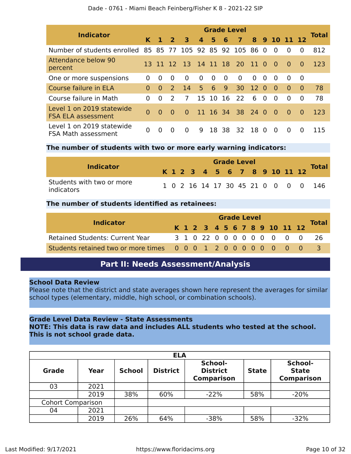| <b>Indicator</b>                                       |          |          |                         |                         |                  |          |          | <b>Grade Level</b>  |                 |            |          |            |          | <b>Total</b> |
|--------------------------------------------------------|----------|----------|-------------------------|-------------------------|------------------|----------|----------|---------------------|-----------------|------------|----------|------------|----------|--------------|
|                                                        | K.       |          | $\overline{\mathbf{z}}$ | $\overline{\mathbf{3}}$ | $\boldsymbol{4}$ | 5        | 6        | 7                   | 8               |            |          | 9 10 11 12 |          |              |
| Number of students enrolled                            |          | 85 85 77 |                         |                         |                  |          |          | 105 92 85 92 105 86 |                 | $\Omega$   | $\Omega$ | $\Omega$   | $\Omega$ | 812          |
| Attendance below 90<br>percent                         | 13.      | 11 12    |                         |                         |                  |          |          | 13 14 11 18 20      | $\overline{11}$ | <u>_ ೧</u> | $\Omega$ | $\Omega$   | $\Omega$ | 123          |
| One or more suspensions                                | 0        | $\Omega$ | $\Omega$                | $\Omega$                | $\Omega$         | $\Omega$ | $\Omega$ | $\Omega$            | $\Omega$        | $\Omega$   | $\Omega$ | $\Omega$   | 0        |              |
| Course failure in ELA                                  | $\Omega$ | $\Omega$ | $\mathcal{P}$           | 14                      | 5 <sup>1</sup>   | 6        | 9        | 30                  | <sup>12</sup>   | $\Omega$   | $\Omega$ | $\Omega$   | $\Omega$ | 78           |
| Course failure in Math                                 | 0        | $\Omega$ | $\mathcal{L}$           | 7                       | 15               | 10       | 16       | 22                  | 6               | $\Omega$   | $\Omega$ | $\Omega$   | $\Omega$ | 78           |
| Level 1 on 2019 statewide<br><b>FSA ELA assessment</b> | $\Omega$ | $\Omega$ | $\Omega$                | $\Omega$                |                  |          |          | 11 16 34 38 24 0    |                 |            | $\Omega$ | $\Omega$   | $\Omega$ | 123          |
| Level 1 on 2019 statewide<br>FSA Math assessment       | 0        | $\Omega$ | 0                       | $\Omega$                | q                |          | 18 38    | 32                  | 18 0            |            | $\Omega$ | $\Omega$   | $\Omega$ | 115          |

#### **The number of students with two or more early warning indicators:**

| <b>Indicator</b>                        | <b>Grade Level</b> |  |  |  |  |  |  |  |  |  |  |  |                              |                                     |
|-----------------------------------------|--------------------|--|--|--|--|--|--|--|--|--|--|--|------------------------------|-------------------------------------|
|                                         |                    |  |  |  |  |  |  |  |  |  |  |  | K 1 2 3 4 5 6 7 8 9 10 11 12 | <b>Total</b>                        |
| Students with two or more<br>indicators |                    |  |  |  |  |  |  |  |  |  |  |  |                              | 1 0 2 16 14 17 30 45 21 0 0 0 0 146 |

#### **The number of students identified as retainees:**

|                                                                 | <b>Grade Level</b> |  |  |  |  |  |  |  |  |  |                              |  |  | <b>Total</b> |
|-----------------------------------------------------------------|--------------------|--|--|--|--|--|--|--|--|--|------------------------------|--|--|--------------|
| <b>Indicator</b>                                                |                    |  |  |  |  |  |  |  |  |  | K 1 2 3 4 5 6 7 8 9 10 11 12 |  |  |              |
| Retained Students: Current Year                                 |                    |  |  |  |  |  |  |  |  |  | 3 1 0 22 0 0 0 0 0 0 0 0 0   |  |  | -26          |
| Students retained two or more times 0 0 0 1 2 0 0 0 0 0 0 0 0 0 |                    |  |  |  |  |  |  |  |  |  |                              |  |  |              |

### **Part II: Needs Assessment/Analysis**

#### <span id="page-9-0"></span>**School Data Review**

Please note that the district and state averages shown here represent the averages for similar school types (elementary, middle, high school, or combination schools).

#### **Grade Level Data Review - State Assessments**

**NOTE: This data is raw data and includes ALL students who tested at the school. This is not school grade data.**

|                          | <b>ELA</b> |               |                 |                                                 |              |                                              |  |  |  |  |  |  |  |  |
|--------------------------|------------|---------------|-----------------|-------------------------------------------------|--------------|----------------------------------------------|--|--|--|--|--|--|--|--|
| <b>Grade</b>             | Year       | <b>School</b> | <b>District</b> | School-<br><b>District</b><br><b>Comparison</b> | <b>State</b> | School-<br><b>State</b><br><b>Comparison</b> |  |  |  |  |  |  |  |  |
| 03                       | 2021       |               |                 |                                                 |              |                                              |  |  |  |  |  |  |  |  |
|                          | 2019       | 38%           | 60%             | $-22%$                                          | 58%          | $-20%$                                       |  |  |  |  |  |  |  |  |
| <b>Cohort Comparison</b> |            |               |                 |                                                 |              |                                              |  |  |  |  |  |  |  |  |
| 04                       | 2021       |               |                 |                                                 |              |                                              |  |  |  |  |  |  |  |  |
|                          | 2019       | 26%           | 64%             | $-38%$                                          | 58%          | $-32%$                                       |  |  |  |  |  |  |  |  |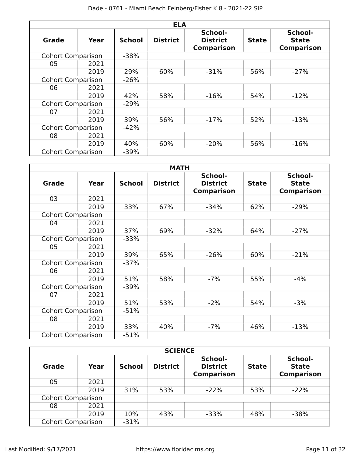| <b>ELA</b>               |      |               |                 |                                                 |              |                                              |  |  |
|--------------------------|------|---------------|-----------------|-------------------------------------------------|--------------|----------------------------------------------|--|--|
| <b>Grade</b>             | Year | <b>School</b> | <b>District</b> | School-<br><b>District</b><br><b>Comparison</b> | <b>State</b> | School-<br><b>State</b><br><b>Comparison</b> |  |  |
| <b>Cohort Comparison</b> |      | $-38%$        |                 |                                                 |              |                                              |  |  |
| 05                       | 2021 |               |                 |                                                 |              |                                              |  |  |
|                          | 2019 | 29%           | 60%             | $-31%$                                          | 56%          | $-27%$                                       |  |  |
| <b>Cohort Comparison</b> |      | $-26%$        |                 |                                                 |              |                                              |  |  |
| 06                       | 2021 |               |                 |                                                 |              |                                              |  |  |
|                          | 2019 | 42%           | 58%             | $-16%$                                          | 54%          | $-12%$                                       |  |  |
| <b>Cohort Comparison</b> |      | $-29%$        |                 |                                                 |              |                                              |  |  |
| 07                       | 2021 |               |                 |                                                 |              |                                              |  |  |
|                          | 2019 | 39%           | 56%             | $-17%$                                          | 52%          | $-13%$                                       |  |  |
| <b>Cohort Comparison</b> |      | $-42%$        |                 |                                                 |              |                                              |  |  |
| 08                       | 2021 |               |                 |                                                 |              |                                              |  |  |
|                          | 2019 | 40%           | 60%             | $-20%$                                          | 56%          | $-16%$                                       |  |  |
| <b>Cohort Comparison</b> |      | $-39%$        |                 |                                                 |              |                                              |  |  |

| <b>MATH</b>              |      |               |                 |                                                 |              |                                              |  |
|--------------------------|------|---------------|-----------------|-------------------------------------------------|--------------|----------------------------------------------|--|
| <b>Grade</b>             | Year | <b>School</b> | <b>District</b> | School-<br><b>District</b><br><b>Comparison</b> | <b>State</b> | School-<br><b>State</b><br><b>Comparison</b> |  |
| 03                       | 2021 |               |                 |                                                 |              |                                              |  |
|                          | 2019 | 33%           | 67%             | $-34%$                                          | 62%          | $-29%$                                       |  |
| <b>Cohort Comparison</b> |      |               |                 |                                                 |              |                                              |  |
| 04                       | 2021 |               |                 |                                                 |              |                                              |  |
|                          | 2019 | 37%           | 69%             | $-32%$                                          | 64%          | $-27%$                                       |  |
| <b>Cohort Comparison</b> |      | $-33%$        |                 |                                                 |              |                                              |  |
| 05                       | 2021 |               |                 |                                                 |              |                                              |  |
|                          | 2019 | 39%           | 65%             | $-26%$                                          | 60%          | $-21%$                                       |  |
| <b>Cohort Comparison</b> |      | $-37%$        |                 |                                                 |              |                                              |  |
| 06                       | 2021 |               |                 |                                                 |              |                                              |  |
|                          | 2019 | 51%           | 58%             | $-7%$                                           | 55%          | $-4%$                                        |  |
| <b>Cohort Comparison</b> |      | $-39%$        |                 |                                                 |              |                                              |  |
| 07                       | 2021 |               |                 |                                                 |              |                                              |  |
|                          | 2019 | 51%           | 53%             | $-2%$                                           | 54%          | $-3%$                                        |  |
| <b>Cohort Comparison</b> |      | $-51%$        |                 |                                                 |              |                                              |  |
| 08                       | 2021 |               |                 |                                                 |              |                                              |  |
|                          | 2019 | 33%           | 40%             | $-7%$                                           | 46%          | $-13%$                                       |  |
| <b>Cohort Comparison</b> |      | $-51%$        |                 |                                                 |              |                                              |  |

| <b>SCIENCE</b>           |      |               |                 |                                                 |              |                                              |  |  |
|--------------------------|------|---------------|-----------------|-------------------------------------------------|--------------|----------------------------------------------|--|--|
| <b>Grade</b>             | Year | <b>School</b> | <b>District</b> | School-<br><b>District</b><br><b>Comparison</b> | <b>State</b> | School-<br><b>State</b><br><b>Comparison</b> |  |  |
| 05                       | 2021 |               |                 |                                                 |              |                                              |  |  |
|                          | 2019 | 31%           | 53%             | $-22%$                                          | 53%          | $-22%$                                       |  |  |
| <b>Cohort Comparison</b> |      |               |                 |                                                 |              |                                              |  |  |
| 08                       | 2021 |               |                 |                                                 |              |                                              |  |  |
|                          | 2019 | 10%           | 43%             | $-33%$                                          | 48%          | $-38%$                                       |  |  |
| <b>Cohort Comparison</b> |      | $-31%$        |                 |                                                 |              |                                              |  |  |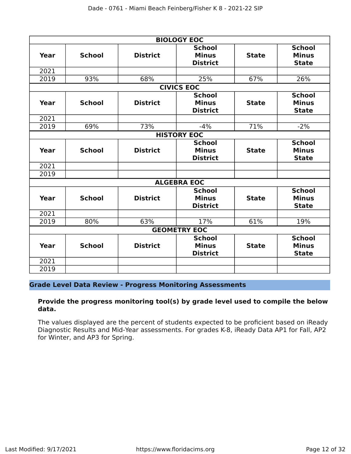|              |               |                                                                                     | <b>BIOLOGY EOC</b>                               |                                               |                                               |
|--------------|---------------|-------------------------------------------------------------------------------------|--------------------------------------------------|-----------------------------------------------|-----------------------------------------------|
| Year         | <b>School</b> | <b>School</b><br><b>District</b><br><b>Minus</b><br><b>State</b><br><b>District</b> |                                                  | <b>School</b><br><b>Minus</b><br><b>State</b> |                                               |
| 2021         |               |                                                                                     |                                                  |                                               |                                               |
| 2019         | 93%           | 68%                                                                                 | 25%                                              | 67%                                           | 26%                                           |
|              |               |                                                                                     | <b>CIVICS EOC</b>                                |                                               |                                               |
| Year         | <b>School</b> | <b>District</b>                                                                     | <b>School</b><br><b>Minus</b><br><b>District</b> | <b>State</b>                                  | <b>School</b><br><b>Minus</b><br><b>State</b> |
| 2021         |               |                                                                                     |                                                  |                                               |                                               |
| 2019         | 69%           | 73%                                                                                 | $-4%$                                            | 71%                                           | $-2%$                                         |
|              |               |                                                                                     | <b>HISTORY EOC</b>                               |                                               |                                               |
| <b>Year</b>  | <b>School</b> | <b>District</b>                                                                     | <b>School</b><br><b>Minus</b><br><b>District</b> | <b>State</b>                                  | <b>School</b><br><b>Minus</b><br><b>State</b> |
| 2021         |               |                                                                                     |                                                  |                                               |                                               |
| 2019         |               |                                                                                     |                                                  |                                               |                                               |
|              |               |                                                                                     | <b>ALGEBRA EOC</b>                               |                                               |                                               |
| Year         | <b>School</b> | <b>District</b>                                                                     | <b>School</b><br><b>Minus</b><br><b>District</b> | <b>State</b>                                  | <b>School</b><br><b>Minus</b><br><b>State</b> |
| 2021         |               |                                                                                     |                                                  |                                               |                                               |
| 2019         | 80%           | 63%                                                                                 | 17%                                              | 61%                                           | 19%                                           |
|              |               |                                                                                     | <b>GEOMETRY EOC</b>                              |                                               |                                               |
| Year         | <b>School</b> | <b>District</b>                                                                     | <b>School</b><br><b>Minus</b><br><b>District</b> | <b>State</b>                                  | <b>School</b><br><b>Minus</b><br><b>State</b> |
| 2021<br>2019 |               |                                                                                     |                                                  |                                               |                                               |
|              |               |                                                                                     |                                                  |                                               |                                               |

#### **Grade Level Data Review - Progress Monitoring Assessments**

#### **Provide the progress monitoring tool(s) by grade level used to compile the below data.**

The values displayed are the percent of students expected to be proficient based on iReady Diagnostic Results and Mid-Year assessments. For grades K-8, iReady Data AP1 for Fall, AP2 for Winter, and AP3 for Spring.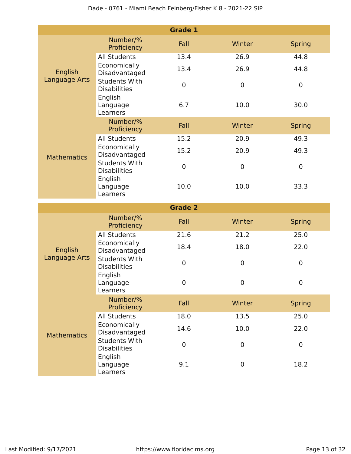|                          |                                                        | <b>Grade 1</b> |                |               |
|--------------------------|--------------------------------------------------------|----------------|----------------|---------------|
|                          | Number/%<br>Proficiency                                | Fall           | Winter         | <b>Spring</b> |
| English<br>Language Arts | <b>All Students</b>                                    | 13.4           | 26.9           | 44.8          |
|                          | Economically<br>Disadvantaged                          | 13.4           | 26.9           | 44.8          |
|                          | <b>Students With</b><br><b>Disabilities</b>            | $\mathbf 0$    | $\mathbf 0$    | $\mathbf 0$   |
|                          | English<br>Language<br>Learners                        | 6.7            | 10.0           | 30.0          |
|                          | Number/%<br>Proficiency                                | Fall           | Winter         | <b>Spring</b> |
|                          | <b>All Students</b>                                    | 15.2           | 20.9           | 49.3          |
| <b>Mathematics</b>       | Economically<br>Disadvantaged                          | 15.2           | 20.9           | 49.3          |
|                          | <b>Students With</b><br><b>Disabilities</b><br>English | $\mathbf 0$    | $\mathbf 0$    | $\mathbf 0$   |
|                          | Language<br>Learners                                   | 10.0           | 10.0           | 33.3          |
|                          |                                                        |                |                |               |
|                          |                                                        | <b>Grade 2</b> |                |               |
|                          | Number/%<br>Proficiency                                | Fall           | Winter         | <b>Spring</b> |
|                          | <b>All Students</b>                                    | 21.6           | 21.2           | 25.0          |
| English                  | Economically<br>Disadvantaged                          | 18.4           | 18.0           | 22.0          |
| Language Arts            | <b>Students With</b><br><b>Disabilities</b>            | $\mathbf 0$    | $\pmb{0}$      | $\mathbf 0$   |
|                          | English<br>Language<br>Learners                        | $\mathbf 0$    | $\overline{0}$ | $\mathbf 0$   |
|                          | Number/%<br>Proficiency                                | Fall           | Winter         | <b>Spring</b> |
|                          | <b>All Students</b>                                    | 18.0           | 13.5           | 25.0          |
| <b>Mathematics</b>       | Economically<br>Disadvantaged                          | 14.6           | 10.0           | 22.0          |
|                          | <b>Students With</b><br><b>Disabilities</b><br>English | $\mathbf 0$    | 0              | $\mathbf 0$   |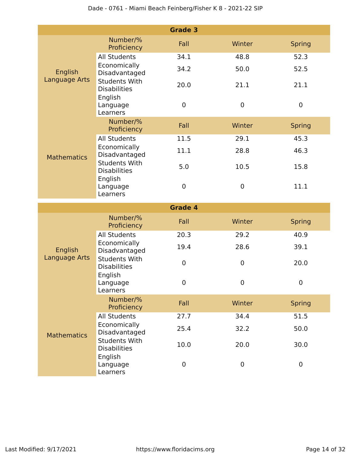|                          |                                             | <b>Grade 3</b> |                |                  |
|--------------------------|---------------------------------------------|----------------|----------------|------------------|
|                          | Number/%<br>Proficiency                     | Fall           | Winter         | <b>Spring</b>    |
| English<br>Language Arts | <b>All Students</b>                         | 34.1           | 48.8           | 52.3             |
|                          | Economically<br>Disadvantaged               | 34.2           | 50.0           | 52.5             |
|                          | <b>Students With</b><br><b>Disabilities</b> | 20.0           | 21.1           | 21.1             |
|                          | English<br>Language<br>Learners             | $\mathbf 0$    | $\mathbf 0$    | $\boldsymbol{0}$ |
|                          | Number/%<br>Proficiency                     | Fall           | Winter         | <b>Spring</b>    |
|                          | <b>All Students</b>                         | 11.5           | 29.1           | 45.3             |
| <b>Mathematics</b>       | Economically<br>Disadvantaged               | 11.1           | 28.8           | 46.3             |
|                          | <b>Students With</b><br><b>Disabilities</b> | 5.0            | 10.5           | 15.8             |
|                          | English<br>Language<br>Learners             | 0              | $\mathbf 0$    | 11.1             |
|                          |                                             | <b>Grade 4</b> |                |                  |
|                          | Number/%<br>Proficiency                     | Fall           | Winter         | <b>Spring</b>    |
|                          | <b>All Students</b>                         | 20.3           | 29.2           | 40.9             |
| English                  | Economically<br>Disadvantaged               | 19.4           | 28.6           | 39.1             |
| Language Arts            | <b>Students With</b><br><b>Disabilities</b> | $\mathbf 0$    | 0              | 20.0             |
|                          | English<br>Language<br>Learners             | 0              | $\overline{0}$ | 0                |
|                          | Number/%<br>Proficiency                     | Fall           | Winter         | <b>Spring</b>    |
|                          | <b>All Students</b>                         | 27.7           | 34.4           | 51.5             |
| <b>Mathematics</b>       | Economically<br>Disadvantaged               | 25.4           | 32.2           | 50.0             |
|                          | <b>Students With</b><br><b>Disabilities</b> | 10.0           | 20.0           | 30.0             |
|                          | English<br>Language                         | 0              | 0              | $\mathbf 0$      |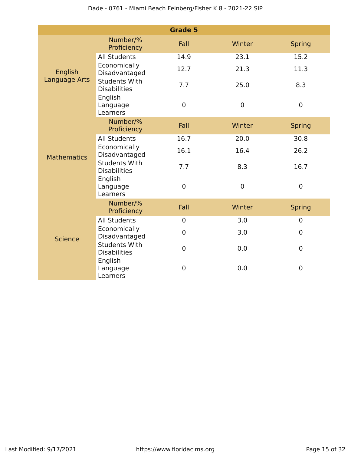|                          |                                                        | <b>Grade 5</b>   |             |                  |
|--------------------------|--------------------------------------------------------|------------------|-------------|------------------|
| English<br>Language Arts | Number/%<br>Proficiency                                | Fall             | Winter      | <b>Spring</b>    |
|                          | <b>All Students</b>                                    | 14.9             | 23.1        | 15.2             |
|                          | Economically<br>Disadvantaged                          | 12.7             | 21.3        | 11.3             |
|                          | <b>Students With</b><br><b>Disabilities</b><br>English | 7.7              | 25.0        | 8.3              |
|                          | Language<br>Learners                                   | $\mathbf 0$      | $\mathbf 0$ | $\mathbf 0$      |
|                          | Number/%<br>Proficiency                                | Fall             | Winter      | <b>Spring</b>    |
|                          | <b>All Students</b>                                    | 16.7             | 20.0        | 30.8             |
| <b>Mathematics</b>       | Economically<br>Disadvantaged                          | 16.1             | 16.4        | 26.2             |
|                          | <b>Students With</b><br><b>Disabilities</b>            | 7.7              | 8.3         | 16.7             |
|                          | English<br>Language<br>Learners                        | $\mathbf 0$      | $\mathbf 0$ | $\mathbf 0$      |
|                          | Number/%<br>Proficiency                                | Fall             | Winter      | <b>Spring</b>    |
|                          | <b>All Students</b>                                    | $\overline{0}$   | 3.0         | $\overline{0}$   |
| <b>Science</b>           | Economically<br>Disadvantaged                          | $\mathbf 0$      | 3.0         | $\mathbf 0$      |
|                          | <b>Students With</b><br><b>Disabilities</b>            | $\boldsymbol{0}$ | 0.0         | $\boldsymbol{0}$ |
|                          | English<br>Language<br>Learners                        | 0                | 0.0         | 0                |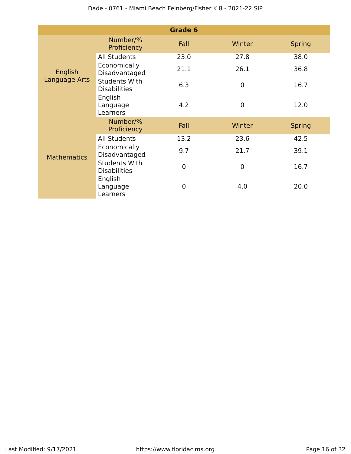|                    |                                             | Grade 6     |                |               |
|--------------------|---------------------------------------------|-------------|----------------|---------------|
|                    | Number/%<br>Proficiency                     | Fall        | Winter         | <b>Spring</b> |
|                    | <b>All Students</b>                         | 23.0        | 27.8           | 38.0          |
| English            | Economically<br>Disadvantaged               | 21.1        | 26.1           | 36.8          |
| Language Arts      | <b>Students With</b><br><b>Disabilities</b> | 6.3         | $\overline{0}$ | 16.7          |
|                    | English<br>Language<br>Learners             | 4.2         | $\overline{0}$ | 12.0          |
|                    | Number/%<br>Proficiency                     | Fall        | Winter         | <b>Spring</b> |
|                    | <b>All Students</b>                         | 13.2        | 23.6           | 42.5          |
| <b>Mathematics</b> | Economically<br>Disadvantaged               | 9.7         | 21.7           | 39.1          |
|                    | <b>Students With</b><br><b>Disabilities</b> | $\mathbf 0$ | $\mathbf 0$    | 16.7          |
|                    | English<br>Language<br>Learners             | 0           | 4.0            | 20.0          |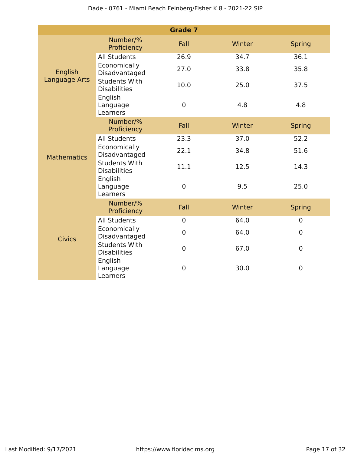|                    |                                             | <b>Grade 7</b>   |        |                |
|--------------------|---------------------------------------------|------------------|--------|----------------|
|                    | Number/%<br>Proficiency                     | Fall             | Winter | <b>Spring</b>  |
| English            | <b>All Students</b>                         | 26.9             | 34.7   | 36.1           |
|                    | Economically<br>Disadvantaged               | 27.0             | 33.8   | 35.8           |
| Language Arts      | <b>Students With</b><br><b>Disabilities</b> | 10.0             | 25.0   | 37.5           |
|                    | English<br>Language<br>Learners             | $\boldsymbol{0}$ | 4.8    | 4.8            |
|                    | Number/%<br>Proficiency                     | Fall             | Winter | <b>Spring</b>  |
|                    | <b>All Students</b>                         | 23.3             | 37.0   | 52.2           |
| <b>Mathematics</b> | Economically<br>Disadvantaged               | 22.1             | 34.8   | 51.6           |
|                    | <b>Students With</b><br><b>Disabilities</b> | 11.1             | 12.5   | 14.3           |
|                    | English<br>Language<br>Learners             | $\boldsymbol{0}$ | 9.5    | 25.0           |
|                    | Number/%<br>Proficiency                     | Fall             | Winter | <b>Spring</b>  |
|                    | <b>All Students</b>                         | $\overline{0}$   | 64.0   | $\mathbf 0$    |
| <b>Civics</b>      | Economically<br>Disadvantaged               | $\overline{0}$   | 64.0   | $\overline{0}$ |
|                    | <b>Students With</b><br><b>Disabilities</b> | $\mathbf 0$      | 67.0   | $\mathbf 0$    |
|                    | English<br>Language<br>Learners             | 0                | 30.0   | $\mathbf 0$    |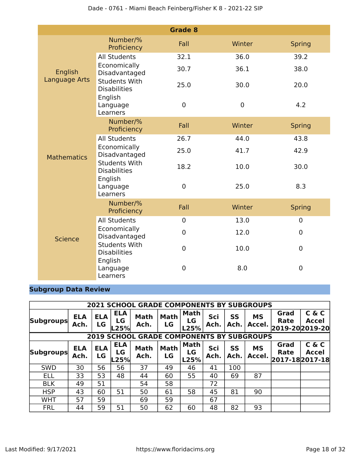|                          |                                                        | <b>Grade 8</b> |             |                |
|--------------------------|--------------------------------------------------------|----------------|-------------|----------------|
| English<br>Language Arts | Number/%<br>Proficiency                                | Fall           | Winter      | <b>Spring</b>  |
|                          | <b>All Students</b>                                    | 32.1           | 36.0        | 39.2           |
|                          | Economically<br>Disadvantaged                          | 30.7           | 36.1        | 38.0           |
|                          | <b>Students With</b><br><b>Disabilities</b><br>English | 25.0           | 30.0        | 20.0           |
|                          | Language<br>Learners                                   | $\mathbf 0$    | $\mathbf 0$ | 4.2            |
|                          | Number/%<br>Proficiency                                | Fall           | Winter      | <b>Spring</b>  |
|                          | <b>All Students</b>                                    | 26.7           | 44.0        | 43.8           |
| <b>Mathematics</b>       | Economically<br>Disadvantaged                          | 25.0           | 41.7        | 42.9           |
|                          | <b>Students With</b><br><b>Disabilities</b>            | 18.2           | 10.0        | 30.0           |
|                          | English<br>Language<br>Learners                        | $\overline{0}$ | 25.0        | 8.3            |
|                          | Number/%<br>Proficiency                                | Fall           | Winter      | <b>Spring</b>  |
|                          | <b>All Students</b>                                    | $\pmb{0}$      | 13.0        | $\mathbf 0$    |
| <b>Science</b>           | Economically<br>Disadvantaged                          | 0              | 12.0        | $\overline{0}$ |
|                          | <b>Students With</b><br><b>Disabilities</b>            | $\mathbf 0$    | 10.0        | $\mathbf 0$    |
|                          | English<br>Language<br>Learners                        | 0              | 8.0         | 0              |

# **Subgroup Data Review**

|                  | <b>2021 SCHOOL GRADE COMPONENTS BY SUBGROUPS</b> |                         |                          |                                             |                   |                           |             |            |                     |                                       |                       |
|------------------|--------------------------------------------------|-------------------------|--------------------------|---------------------------------------------|-------------------|---------------------------|-------------|------------|---------------------|---------------------------------------|-----------------------|
| <b>Subgroups</b> | <b>ELA</b><br>Ach.                               | <b>ELA</b><br>LG        | <b>ELA</b><br>LG<br>L25% | <b>Math</b><br>Ach.                         | <b>Math</b><br>LG | <b>Math</b><br>LG<br>L25% | Sci<br>Ach. | SS<br>Ach. | <b>MS</b><br>Accel. | Grad<br><b>Rate</b><br>2019-202019-20 | C & C<br><b>Accel</b> |
|                  |                                                  | 2019                    |                          | <b>SCHOOL GRADE COMPONENTS BY SUBGROUPS</b> |                   |                           |             |            |                     |                                       |                       |
| <b>Subgroups</b> | <b>ELA</b><br>Ach.                               | <b>ELA</b><br><b>LG</b> | <b>ELA</b><br>LG<br>L25% | <b>Math</b><br>Ach.                         | <b>Math</b><br>LG | <b>Math</b><br>LG<br>L25% | Sci<br>Ach. | SS<br>Ach. | <b>MS</b><br>Accel. | Grad<br>Rate<br>2017-182017-18        | C & C<br><b>Accel</b> |
| <b>SWD</b>       | 30                                               | 56                      | 56                       | 37                                          | 49                | 46                        | 41          | 100        |                     |                                       |                       |
| <b>ELL</b>       | 33                                               | 53                      | 48                       | 44                                          | 60                | 55                        | 40          | 69         | 87                  |                                       |                       |
| <b>BLK</b>       | 49                                               | 51                      |                          | 54                                          | 58                |                           | 72          |            |                     |                                       |                       |
| <b>HSP</b>       | 43                                               | 60                      | 51                       | 50                                          | 61                | 58                        | 45          | 81         | 90                  |                                       |                       |
| <b>WHT</b>       | 57                                               | 59                      |                          | 69                                          | 59                |                           | 67          |            |                     |                                       |                       |
| <b>FRL</b>       | 44                                               | 59                      | 51                       | 50                                          | 62                | 60                        | 48          | 82         | 93                  |                                       |                       |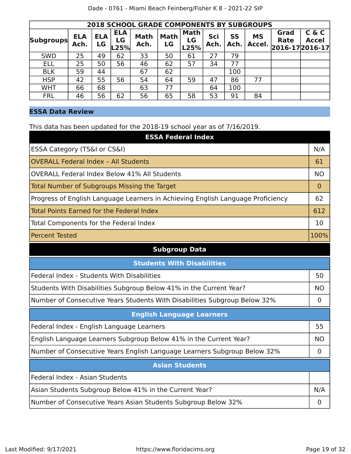| <b>2018 SCHOOL GRADE COMPONENTS BY SUBGROUPS</b> |                    |                  |                          |                     |                   |                           |             |            |                     |                                        |                       |
|--------------------------------------------------|--------------------|------------------|--------------------------|---------------------|-------------------|---------------------------|-------------|------------|---------------------|----------------------------------------|-----------------------|
| <b>Subgroups</b>                                 | <b>ELA</b><br>Ach. | <b>ELA</b><br>LG | <b>ELA</b><br>LG<br>L25% | <b>Math</b><br>Ach. | <b>Math</b><br>LG | <b>Math</b><br>LG<br>L25% | Sci<br>Ach. | SS<br>Ach. | <b>MS</b><br>Accel. | Grad<br><b>Rate</b><br>2016-17 2016-17 | C & C<br><b>Accel</b> |
| <b>SWD</b>                                       | 25                 | 49               | 62                       | 33                  | 50                | 61                        | 27          | 79         |                     |                                        |                       |
| <b>ELL</b>                                       | 25                 | 50               | 56                       | 46                  | 62                | 57                        | 34          | 77         |                     |                                        |                       |
| <b>BLK</b>                                       | 59                 | 44               |                          | 67                  | 62                |                           |             | 100        |                     |                                        |                       |
| <b>HSP</b>                                       | 42                 | 55               | 56                       | 54                  | 64                | 59                        | 47          | 86         | 77                  |                                        |                       |
| <b>WHT</b>                                       | 66                 | 68               |                          | 63                  | 77                |                           | 64          | 100        |                     |                                        |                       |
| <b>FRL</b>                                       | 46                 | 56               | 62                       | 56                  | 65                | 58                        | 53          | 91         | 84                  |                                        |                       |

### **ESSA Data Review**

This data has been updated for the 2018-19 school year as of 7/16/2019.

| <b>ESSA Federal Index</b>                                                       |                |
|---------------------------------------------------------------------------------|----------------|
| ESSA Category (TS&I or CS&I)                                                    | N/A            |
| <b>OVERALL Federal Index - All Students</b>                                     | 61             |
| <b>OVERALL Federal Index Below 41% All Students</b>                             | <b>NO</b>      |
| <b>Total Number of Subgroups Missing the Target</b>                             | $\Omega$       |
| Progress of English Language Learners in Achieving English Language Proficiency | 62             |
| <b>Total Points Earned for the Federal Index</b>                                | 612            |
| Total Components for the Federal Index                                          | 10             |
| <b>Percent Tested</b>                                                           | 100%           |
| <b>Subgroup Data</b>                                                            |                |
| <b>Students With Disabilities</b>                                               |                |
| Federal Index - Students With Disabilities                                      | 50             |
| Students With Disabilities Subgroup Below 41% in the Current Year?              | <b>NO</b>      |
| Number of Consecutive Years Students With Disabilities Subgroup Below 32%       | $\overline{0}$ |
| <b>English Language Learners</b>                                                |                |
| Federal Index - English Language Learners                                       | 55             |
| English Language Learners Subgroup Below 41% in the Current Year?               | <b>NO</b>      |
| Number of Consecutive Years English Language Learners Subgroup Below 32%        | $\mathbf 0$    |
| <b>Asian Students</b>                                                           |                |
| Federal Index - Asian Students                                                  |                |
| Asian Students Subgroup Below 41% in the Current Year?                          | N/A            |
| Number of Consecutive Years Asian Students Subgroup Below 32%                   | $\overline{0}$ |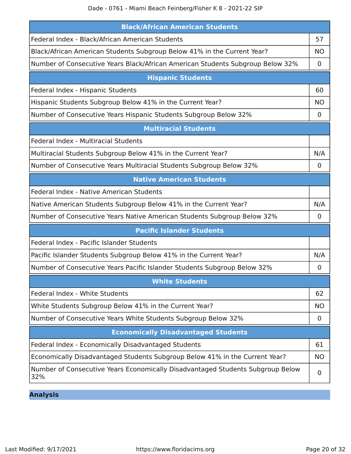| <b>Black/African American Students</b>                                                |             |
|---------------------------------------------------------------------------------------|-------------|
| Federal Index - Black/African American Students                                       | 57          |
| Black/African American Students Subgroup Below 41% in the Current Year?               | <b>NO</b>   |
| Number of Consecutive Years Black/African American Students Subgroup Below 32%        | 0           |
| <b>Hispanic Students</b>                                                              |             |
| Federal Index - Hispanic Students                                                     | 60          |
| Hispanic Students Subgroup Below 41% in the Current Year?                             | <b>NO</b>   |
| Number of Consecutive Years Hispanic Students Subgroup Below 32%                      | 0           |
| <b>Multiracial Students</b>                                                           |             |
| Federal Index - Multiracial Students                                                  |             |
| Multiracial Students Subgroup Below 41% in the Current Year?                          | N/A         |
| Number of Consecutive Years Multiracial Students Subgroup Below 32%                   | 0           |
| <b>Native American Students</b>                                                       |             |
| Federal Index - Native American Students                                              |             |
| Native American Students Subgroup Below 41% in the Current Year?                      | N/A         |
| Number of Consecutive Years Native American Students Subgroup Below 32%               | $\mathbf 0$ |
| <b>Pacific Islander Students</b>                                                      |             |
| Federal Index - Pacific Islander Students                                             |             |
| Pacific Islander Students Subgroup Below 41% in the Current Year?                     | N/A         |
| Number of Consecutive Years Pacific Islander Students Subgroup Below 32%              | 0           |
| <b>White Students</b>                                                                 |             |
| Federal Index - White Students                                                        | 62          |
| White Students Subgroup Below 41% in the Current Year?                                | <b>NO</b>   |
| Number of Consecutive Years White Students Subgroup Below 32%                         | 0           |
| <b>Economically Disadvantaged Students</b>                                            |             |
| Federal Index - Economically Disadvantaged Students                                   | 61          |
| Economically Disadvantaged Students Subgroup Below 41% in the Current Year?           | <b>NO</b>   |
| Number of Consecutive Years Economically Disadvantaged Students Subgroup Below<br>32% | 0           |

**Analysis**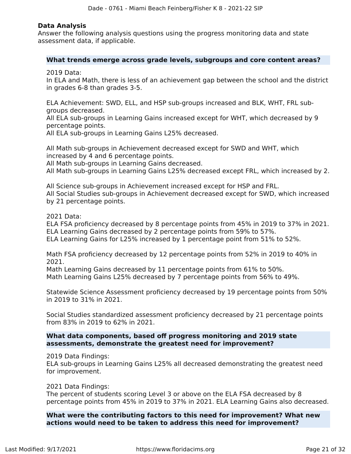#### **Data Analysis**

Answer the following analysis questions using the progress monitoring data and state assessment data, if applicable.

#### **What trends emerge across grade levels, subgroups and core content areas?**

2019 Data:

In ELA and Math, there is less of an achievement gap between the school and the district in grades 6-8 than grades 3-5.

ELA Achievement: SWD, ELL, and HSP sub-groups increased and BLK, WHT, FRL subgroups decreased.

All ELA sub-groups in Learning Gains increased except for WHT, which decreased by 9 percentage points.

All ELA sub-groups in Learning Gains L25% decreased.

All Math sub-groups in Achievement decreased except for SWD and WHT, which increased by 4 and 6 percentage points.

All Math sub-groups in Learning Gains decreased.

All Math sub-groups in Learning Gains L25% decreased except FRL, which increased by 2.

All Science sub-groups in Achievement increased except for HSP and FRL. All Social Studies sub-groups in Achievement decreased except for SWD, which increased by 21 percentage points.

2021 Data:

ELA FSA proficiency decreased by 8 percentage points from 45% in 2019 to 37% in 2021. ELA Learning Gains decreased by 2 percentage points from 59% to 57%.

ELA Learning Gains for L25% increased by 1 percentage point from 51% to 52%.

Math FSA proficiency decreased by 12 percentage points from 52% in 2019 to 40% in 2021.

Math Learning Gains decreased by 11 percentage points from 61% to 50%. Math Learning Gains L25% decreased by 7 percentage points from 56% to 49%.

Statewide Science Assessment proficiency decreased by 19 percentage points from 50% in 2019 to 31% in 2021.

Social Studies standardized assessment proficiency decreased by 21 percentage points from 83% in 2019 to 62% in 2021.

#### **What data components, based off progress monitoring and 2019 state assessments, demonstrate the greatest need for improvement?**

2019 Data Findings:

ELA sub-groups in Learning Gains L25% all decreased demonstrating the greatest need for improvement.

2021 Data Findings:

The percent of students scoring Level 3 or above on the ELA FSA decreased by 8 percentage points from 45% in 2019 to 37% in 2021. ELA Learning Gains also decreased.

**What were the contributing factors to this need for improvement? What new actions would need to be taken to address this need for improvement?**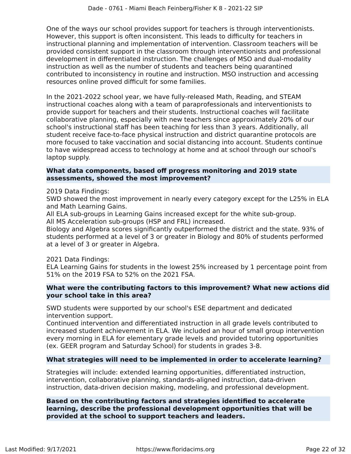One of the ways our school provides support for teachers is through interventionists. However, this support is often inconsistent. This leads to difficulty for teachers in instructional planning and implementation of intervention. Classroom teachers will be provided consistent support in the classroom through interventionists and professional development in differentiated instruction. The challenges of MSO and dual-modality instruction as well as the number of students and teachers being quarantined contributed to inconsistency in routine and instruction. MSO instruction and accessing resources online proved difficult for some families.

In the 2021-2022 school year, we have fully-released Math, Reading, and STEAM instructional coaches along with a team of paraprofessionals and interventionists to provide support for teachers and their students. Instructional coaches will facilitate collaborative planning, especially with new teachers since approximately 20% of our school's instructional staff has been teaching for less than 3 years. Additionally, all student receive face-to-face physical instruction and district quarantine protocols are more focused to take vaccination and social distancing into account. Students continue to have widespread access to technology at home and at school through our school's laptop supply.

#### **What data components, based off progress monitoring and 2019 state assessments, showed the most improvement?**

2019 Data Findings:

SWD showed the most improvement in nearly every category except for the L25% in ELA and Math Learning Gains.

All ELA sub-groups in Learning Gains increased except for the white sub-group. All MS Acceleration sub-groups (HSP and FRL) increased.

Biology and Algebra scores significantly outperformed the district and the state. 93% of students performed at a level of 3 or greater in Biology and 80% of students performed at a level of 3 or greater in Algebra.

2021 Data Findings:

ELA Learning Gains for students in the lowest 25% increased by 1 percentage point from 51% on the 2019 FSA to 52% on the 2021 FSA.

#### **What were the contributing factors to this improvement? What new actions did your school take in this area?**

SWD students were supported by our school's ESE department and dedicated intervention support.

Continued intervention and differentiated instruction in all grade levels contributed to increased student achievement in ELA. We included an hour of small group intervention every morning in ELA for elementary grade levels and provided tutoring opportunities (ex. GEER program and Saturday School) for students in grades 3-8.

#### **What strategies will need to be implemented in order to accelerate learning?**

Strategies will include: extended learning opportunities, differentiated instruction, intervention, collaborative planning, standards-aligned instruction, data-driven instruction, data-driven decision making, modeling, and professional development.

#### **Based on the contributing factors and strategies identified to accelerate learning, describe the professional development opportunities that will be provided at the school to support teachers and leaders.**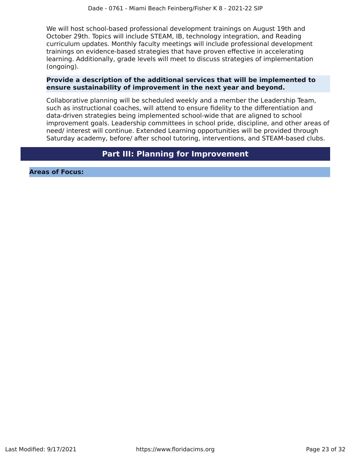We will host school-based professional development trainings on August 19th and October 29th. Topics will include STEAM, IB, technology integration, and Reading curriculum updates. Monthly faculty meetings will include professional development trainings on evidence-based strategies that have proven effective in accelerating learning. Additionally, grade levels will meet to discuss strategies of implementation (ongoing).

#### **Provide a description of the additional services that will be implemented to ensure sustainability of improvement in the next year and beyond.**

Collaborative planning will be scheduled weekly and a member the Leadership Team, such as instructional coaches, will attend to ensure fidelity to the differentiation and data-driven strategies being implemented school-wide that are aligned to school improvement goals. Leadership committees in school pride, discipline, and other areas of need/ interest will continue. Extended Learning opportunities will be provided through Saturday academy, before/ after school tutoring, interventions, and STEAM-based clubs.

# **Part III: Planning for Improvement**

<span id="page-22-0"></span>**Areas of Focus:**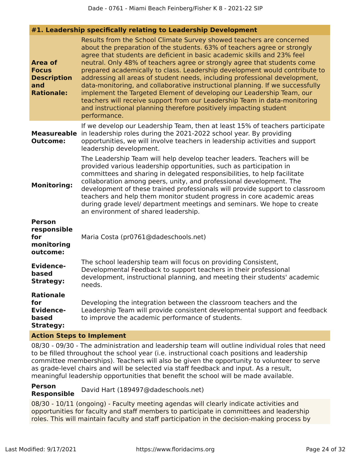|                                                                                               | #1. Leadership specifically relating to Leadership Development                                                                                                                                                                                                                                                                                                                                                                                                                                                                                                                                                                                                                                                                                                                                  |
|-----------------------------------------------------------------------------------------------|-------------------------------------------------------------------------------------------------------------------------------------------------------------------------------------------------------------------------------------------------------------------------------------------------------------------------------------------------------------------------------------------------------------------------------------------------------------------------------------------------------------------------------------------------------------------------------------------------------------------------------------------------------------------------------------------------------------------------------------------------------------------------------------------------|
| <b>Area of</b><br><b>Focus</b><br><b>Description</b><br>and<br><b>Rationale:</b>              | Results from the School Climate Survey showed teachers are concerned<br>about the preparation of the students. 63% of teachers agree or strongly<br>agree that students are deficient in basic academic skills and 23% feel<br>neutral. Only 48% of teachers agree or strongly agree that students come<br>prepared academically to class. Leadership development would contribute to<br>addressing all areas of student needs, including professional development,<br>data-monitoring, and collaborative instructional planning. If we successfully<br>implement the Targeted Element of developing our Leadership Team, our<br>teachers will receive support from our Leadership Team in data-monitoring<br>and instructional planning therefore positively impacting student<br>performance. |
| <b>Measureable</b><br><b>Outcome:</b>                                                         | If we develop our Leadership Team, then at least 15% of teachers participate<br>in leadership roles during the 2021-2022 school year. By providing<br>opportunities, we will involve teachers in leadership activities and support<br>leadership development.                                                                                                                                                                                                                                                                                                                                                                                                                                                                                                                                   |
| <b>Monitoring:</b>                                                                            | The Leadership Team will help develop teacher leaders. Teachers will be<br>provided various leadership opportunities, such as participation in<br>committees and sharing in delegated responsibilities, to help facilitate<br>collaboration among peers, unity, and professional development. The<br>development of these trained professionals will provide support to classroom<br>teachers and help them monitor student progress in core academic areas<br>during grade level/ department meetings and seminars. We hope to create<br>an environment of shared leadership.                                                                                                                                                                                                                  |
| <b>Person</b><br>responsible<br>for<br>monitoring<br>outcome:                                 | Maria Costa (pr0761@dadeschools.net)                                                                                                                                                                                                                                                                                                                                                                                                                                                                                                                                                                                                                                                                                                                                                            |
| <b>Evidence-</b><br>based<br><b>Strategy:</b><br>needs.                                       | The school leadership team will focus on providing Consistent,<br>Developmental Feedback to support teachers in their professional<br>development, instructional planning, and meeting their students' academic                                                                                                                                                                                                                                                                                                                                                                                                                                                                                                                                                                                 |
| <b>Rationale</b><br>for<br><b>Evidence-</b><br>based<br><b>Strategy:</b><br>tong to Implement | Developing the integration between the classroom teachers and the<br>Leadership Team will provide consistent developmental support and feedback<br>to improve the academic performance of students.                                                                                                                                                                                                                                                                                                                                                                                                                                                                                                                                                                                             |

### **Action Steps to Implement**

08/30 - 09/30 - The administration and leadership team will outline individual roles that need to be filled throughout the school year (i.e. instructional coach positions and leadership committee memberships). Teachers will also be given the opportunity to volunteer to serve as grade-level chairs and will be selected via staff feedback and input. As a result, meaningful leadership opportunities that benefit the school will be made available.

## **Person**

**Responsible** David Hart (189497@dadeschools.net)

08/30 - 10/11 (ongoing) - Faculty meeting agendas will clearly indicate activities and opportunities for faculty and staff members to participate in committees and leadership roles. This will maintain faculty and staff participation in the decision-making process by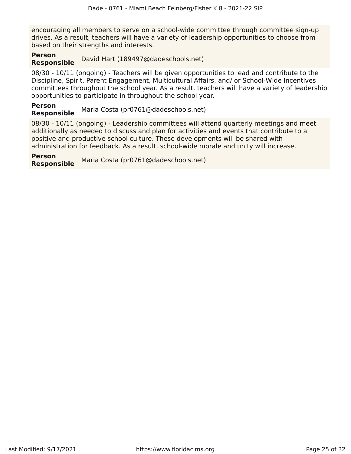encouraging all members to serve on a school-wide committee through committee sign-up drives. As a result, teachers will have a variety of leadership opportunities to choose from based on their strengths and interests.

#### **Person Responsible** David Hart (189497@dadeschools.net)

08/30 - 10/11 (ongoing) - Teachers will be given opportunities to lead and contribute to the Discipline, Spirit, Parent Engagement, Multicultural Affairs, and/ or School-Wide Incentives committees throughout the school year. As a result, teachers will have a variety of leadership opportunities to participate in throughout the school year.

#### **Person Responsible** Maria Costa (pr0761@dadeschools.net)

08/30 - 10/11 (ongoing) - Leadership committees will attend quarterly meetings and meet additionally as needed to discuss and plan for activities and events that contribute to a positive and productive school culture. These developments will be shared with administration for feedback. As a result, school-wide morale and unity will increase.

**Person Responsible** Maria Costa (pr0761@dadeschools.net)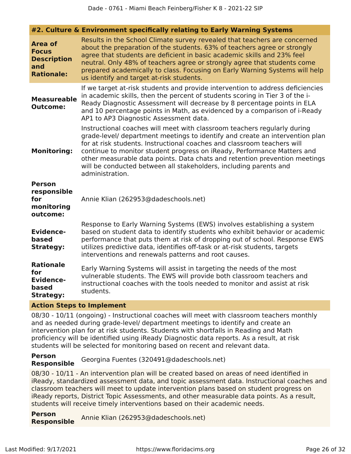|                                                                                  | #2. Culture & Environment specifically relating to Early Warning Systems                                                                                                                                                                                                                                                                                                                                                                                                             |
|----------------------------------------------------------------------------------|--------------------------------------------------------------------------------------------------------------------------------------------------------------------------------------------------------------------------------------------------------------------------------------------------------------------------------------------------------------------------------------------------------------------------------------------------------------------------------------|
| <b>Area of</b><br><b>Focus</b><br><b>Description</b><br>and<br><b>Rationale:</b> | Results in the School Climate survey revealed that teachers are concerned<br>about the preparation of the students. 63% of teachers agree or strongly<br>agree that students are deficient in basic academic skills and 23% feel<br>neutral. Only 48% of teachers agree or strongly agree that students come<br>prepared academically to class. Focusing on Early Warning Systems will help<br>us identify and target at-risk students.                                              |
| <b>Measureable</b><br><b>Outcome:</b>                                            | If we target at-risk students and provide intervention to address deficiencies<br>in academic skills, then the percent of students scoring in Tier 3 of the i-<br>Ready Diagnostic Assessment will decrease by 8 percentage points in ELA<br>and 10 percentage points in Math, as evidenced by a comparison of i-Ready<br>AP1 to AP3 Diagnostic Assessment data.                                                                                                                     |
| <b>Monitoring:</b>                                                               | Instructional coaches will meet with classroom teachers regularly during<br>grade-level/ department meetings to identify and create an intervention plan<br>for at risk students. Instructional coaches and classroom teachers will<br>continue to monitor student progress on iReady, Performance Matters and<br>other measurable data points. Data chats and retention prevention meetings<br>will be conducted between all stakeholders, including parents and<br>administration. |
| <b>Person</b><br>responsible<br>for<br>monitoring<br>outcome:                    | Annie Klian (262953@dadeschools.net)                                                                                                                                                                                                                                                                                                                                                                                                                                                 |
| <b>Evidence-</b><br>based<br><b>Strategy:</b>                                    | Response to Early Warning Systems (EWS) involves establishing a system<br>based on student data to identify students who exhibit behavior or academic<br>performance that puts them at risk of dropping out of school. Response EWS<br>utilizes predictive data, identifies off-task or at-risk students, targets<br>interventions and renewals patterns and root causes.                                                                                                            |
| <b>Rationale</b><br>for<br><b>Evidence-</b><br>based<br><b>Strategy:</b>         | Early Warning Systems will assist in targeting the needs of the most<br>vulnerable students. The EWS will provide both classroom teachers and<br>instructional coaches with the tools needed to monitor and assist at risk<br>students.                                                                                                                                                                                                                                              |

#### **Action Steps to Implement**

08/30 - 10/11 (ongoing) - Instructional coaches will meet with classroom teachers monthly and as needed during grade-level/ department meetings to identify and create an intervention plan for at risk students. Students with shortfalls in Reading and Math proficiency will be identified using iReady Diagnostic data reports. As a result, at risk students will be selected for monitoring based on recent and relevant data.

#### **Person Responsible** Georgina Fuentes (320491@dadeschools.net)

08/30 - 10/11 - An intervention plan will be created based on areas of need identified in iReady, standardized assessment data, and topic assessment data. Instructional coaches and classroom teachers will meet to update intervention plans based on student progress on iReady reports, District Topic Assessments, and other measurable data points. As a result, students will receive timely interventions based on their academic needs.

**Person Responsible** Annie Klian (262953@dadeschools.net)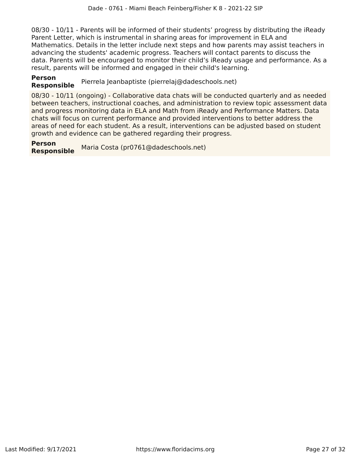08/30 - 10/11 - Parents will be informed of their students' progress by distributing the iReady Parent Letter, which is instrumental in sharing areas for improvement in ELA and Mathematics. Details in the letter include next steps and how parents may assist teachers in advancing the students' academic progress. Teachers will contact parents to discuss the data. Parents will be encouraged to monitor their child's iReady usage and performance. As a result, parents will be informed and engaged in their child's learning.

# **Person**

**Responsible** Pierrela Jeanbaptiste (pierrelaj@dadeschools.net)

08/30 - 10/11 (ongoing) - Collaborative data chats will be conducted quarterly and as needed between teachers, instructional coaches, and administration to review topic assessment data and progress monitoring data in ELA and Math from iReady and Performance Matters. Data chats will focus on current performance and provided interventions to better address the areas of need for each student. As a result, interventions can be adjusted based on student growth and evidence can be gathered regarding their progress.

**Person Responsible** Maria Costa (pr0761@dadeschools.net)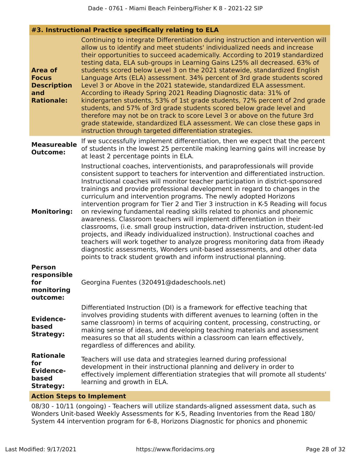#### **#3. Instructional Practice specifically relating to ELA**

| <b>Area of</b><br><b>Focus</b><br><b>Description</b><br>and<br><b>Rationale:</b> | Continuing to integrate Differentiation during instruction and intervention will<br>allow us to identify and meet students' individualized needs and increase<br>their opportunities to succeed academically. According to 2019 standardized<br>testing data, ELA sub-groups in Learning Gains L25% all decreased. 63% of<br>students scored below Level 3 on the 2021 statewide, standardized English<br>Language Arts (ELA) assessment. 34% percent of 3rd grade students scored<br>Level 3 or Above in the 2021 statewide, standardized ELA assessment.<br>According to iReady Spring 2021 Reading Diagnostic data: 31% of<br>kindergarten students, 53% of 1st grade students, 72% percent of 2nd grade<br>students, and 57% of 3rd grade students scored below grade level and<br>therefore may not be on track to score Level 3 or above on the future 3rd<br>grade statewide, standardized ELA assessment. We can close these gaps in<br>instruction through targeted differentiation strategies.                                   |
|----------------------------------------------------------------------------------|--------------------------------------------------------------------------------------------------------------------------------------------------------------------------------------------------------------------------------------------------------------------------------------------------------------------------------------------------------------------------------------------------------------------------------------------------------------------------------------------------------------------------------------------------------------------------------------------------------------------------------------------------------------------------------------------------------------------------------------------------------------------------------------------------------------------------------------------------------------------------------------------------------------------------------------------------------------------------------------------------------------------------------------------|
| <b>Measureable</b><br><b>Outcome:</b>                                            | If we successfully implement differentiation, then we expect that the percent<br>of students in the lowest 25 percentile making learning gains will increase by<br>at least 2 percentage points in ELA.                                                                                                                                                                                                                                                                                                                                                                                                                                                                                                                                                                                                                                                                                                                                                                                                                                    |
| <b>Monitoring:</b>                                                               | Instructional coaches, interventionists, and paraprofessionals will provide<br>consistent support to teachers for intervention and differentiated instruction.<br>Instructional coaches will monitor teacher participation in district-sponsored<br>trainings and provide professional development in regard to changes in the<br>curriculum and intervention programs. The newly adopted Horizons<br>intervention program for Tier 2 and Tier 3 instruction in K-5 Reading will focus<br>on reviewing fundamental reading skills related to phonics and phonemic<br>awareness. Classroom teachers will implement differentiation in their<br>classrooms, (i.e. small group instruction, data-driven instruction, student-led<br>projects, and iReady individualized instruction). Instructional coaches and<br>teachers will work together to analyze progress monitoring data from iReady<br>diagnostic assessments, Wonders unit-based assessments, and other data<br>points to track student growth and inform instructional planning. |
| <b>Person</b><br>responsible<br>for<br>monitoring<br>outcome:                    | Georgina Fuentes (320491@dadeschools.net)                                                                                                                                                                                                                                                                                                                                                                                                                                                                                                                                                                                                                                                                                                                                                                                                                                                                                                                                                                                                  |
| Evidence-<br>based<br><b>Strategy:</b>                                           | Differentiated Instruction (DI) is a framework for effective teaching that<br>involves providing students with different avenues to learning (often in the<br>same classroom) in terms of acquiring content, processing, constructing, or<br>making sense of ideas, and developing teaching materials and assessment<br>measures so that all students within a classroom can learn effectively,<br>regardless of differences and ability.                                                                                                                                                                                                                                                                                                                                                                                                                                                                                                                                                                                                  |
| <b>Rationale</b><br>for<br><b>Evidence-</b><br>based<br><b>Strategy:</b>         | Teachers will use data and strategies learned during professional<br>development in their instructional planning and delivery in order to<br>effectively implement differentiation strategies that will promote all students'<br>learning and growth in ELA.                                                                                                                                                                                                                                                                                                                                                                                                                                                                                                                                                                                                                                                                                                                                                                               |
|                                                                                  |                                                                                                                                                                                                                                                                                                                                                                                                                                                                                                                                                                                                                                                                                                                                                                                                                                                                                                                                                                                                                                            |

#### **Action Steps to Implement**

08/30 - 10/11 (ongoing) - Teachers will utilize standards-aligned assessment data, such as Wonders Unit-based Weekly Assessments for K-5, Reading Inventories from the Read 180/ System 44 intervention program for 6-8, Horizons Diagnostic for phonics and phonemic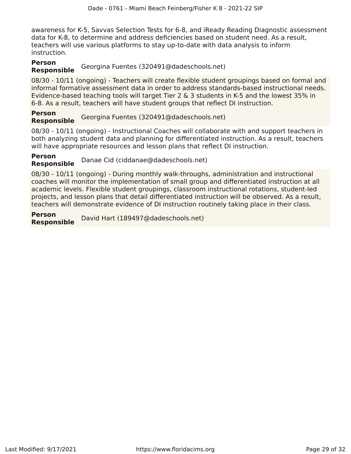awareness for K-5, Savvas Selection Tests for 6-8, and iReady Reading Diagnostic assessment data for K-8, to determine and address deficiencies based on student need. As a result, teachers will use various platforms to stay up-to-date with data analysis to inform instruction.

#### **Person**

# **Responsible** Georgina Fuentes (320491@dadeschools.net)

08/30 - 10/11 (ongoing) - Teachers will create flexible student groupings based on formal and informal formative assessment data in order to address standards-based instructional needs. Evidence-based teaching tools will target Tier 2 & 3 students in K-5 and the lowest 35% in 6-8. As a result, teachers will have student groups that reflect DI instruction.

**Person Responsible** Georgina Fuentes (320491@dadeschools.net)

08/30 - 10/11 (ongoing) - Instructional Coaches will collaborate with and support teachers in both analyzing student data and planning for differentiated instruction. As a result, teachers will have appropriate resources and lesson plans that reflect DI instruction.

**Person Responsible** Danae Cid (ciddanae@dadeschools.net)

08/30 - 10/11 (ongoing) - During monthly walk-throughs, administration and instructional coaches will monitor the implementation of small group and differentiated instruction at all academic levels. Flexible student groupings, classroom instructional rotations, student-led projects, and lesson plans that detail differentiated instruction will be observed. As a result, teachers will demonstrate evidence of DI instruction routinely taking place in their class.

**Person Responsible** David Hart (189497@dadeschools.net)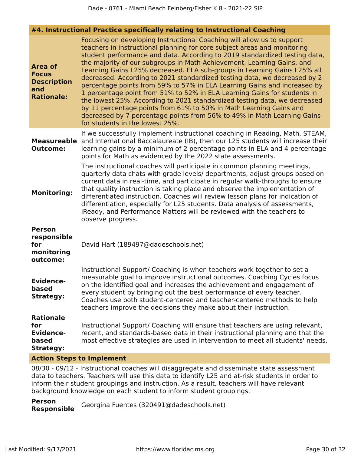|                                                                                  | #4. Instructional Practice specifically relating to Instructional Coaching                                                                                                                                                                                                                                                                                                                                                                                                                                                                                                                                                                                                                                                                                                                                                                                                                   |
|----------------------------------------------------------------------------------|----------------------------------------------------------------------------------------------------------------------------------------------------------------------------------------------------------------------------------------------------------------------------------------------------------------------------------------------------------------------------------------------------------------------------------------------------------------------------------------------------------------------------------------------------------------------------------------------------------------------------------------------------------------------------------------------------------------------------------------------------------------------------------------------------------------------------------------------------------------------------------------------|
| <b>Area of</b><br><b>Focus</b><br><b>Description</b><br>and<br><b>Rationale:</b> | Focusing on developing Instructional Coaching will allow us to support<br>teachers in instructional planning for core subject areas and monitoring<br>student performance and data. According to 2019 standardized testing data,<br>the majority of our subgroups in Math Achievement, Learning Gains, and<br>Learning Gains L25% decreased. ELA sub-groups in Learning Gains L25% all<br>decreased. According to 2021 standardized testing data, we decreased by 2<br>percentage points from 59% to 57% in ELA Learning Gains and increased by<br>1 percentage point from 51% to 52% in ELA Learning Gains for students in<br>the lowest 25%. According to 2021 standardized testing data, we decreased<br>by 11 percentage points from 61% to 50% in Math Learning Gains and<br>decreased by 7 percentage points from 56% to 49% in Math Learning Gains<br>for students in the lowest 25%. |
| <b>Measureable</b><br><b>Outcome:</b>                                            | If we successfully implement instructional coaching in Reading, Math, STEAM,<br>and International Baccalaureate (IB), then our L25 students will increase their<br>learning gains by a minimum of 2 percentage points in ELA and 4 percentage<br>points for Math as evidenced by the 2022 state assessments.                                                                                                                                                                                                                                                                                                                                                                                                                                                                                                                                                                                 |
| <b>Monitoring:</b>                                                               | The instructional coaches will participate in common planning meetings,<br>quarterly data chats with grade levels/ departments, adjust groups based on<br>current data in real-time, and participate in regular walk-throughs to ensure<br>that quality instruction is taking place and observe the implementation of<br>differentiated instruction. Coaches will review lesson plans for indication of<br>differentiation, especially for L25 students. Data analysis of assessments,<br>iReady, and Performance Matters will be reviewed with the teachers to<br>observe progress.                                                                                                                                                                                                                                                                                                         |
| <b>Person</b><br>responsible<br>for<br>monitoring<br>outcome:                    | David Hart (189497@dadeschools.net)                                                                                                                                                                                                                                                                                                                                                                                                                                                                                                                                                                                                                                                                                                                                                                                                                                                          |
| <b>Evidence-</b><br>based<br><b>Strategy:</b>                                    | Instructional Support/ Coaching is when teachers work together to set a<br>measurable goal to improve instructional outcomes. Coaching Cycles focus<br>on the identified goal and increases the achievement and engagement of<br>every student by bringing out the best performance of every teacher.<br>Coaches use both student-centered and teacher-centered methods to help<br>teachers improve the decisions they make about their instruction.                                                                                                                                                                                                                                                                                                                                                                                                                                         |
| <b>Rationale</b><br>for<br><b>Evidence-</b><br>based<br><b>Strategy:</b>         | Instructional Support/ Coaching will ensure that teachers are using relevant,<br>recent, and standards-based data in their instructional planning and that the<br>most effective strategies are used in intervention to meet all students' needs.                                                                                                                                                                                                                                                                                                                                                                                                                                                                                                                                                                                                                                            |
| <b>Action Steps to Implement</b>                                                 |                                                                                                                                                                                                                                                                                                                                                                                                                                                                                                                                                                                                                                                                                                                                                                                                                                                                                              |

08/30 - 09/12 - Instructional coaches will disaggregate and disseminate state assessment data to teachers. Teachers will use this data to identify L25 and at-risk students in order to inform their student groupings and instruction. As a result, teachers will have relevant background knowledge on each student to inform student groupings.

**Person Responsible** Georgina Fuentes (320491@dadeschools.net)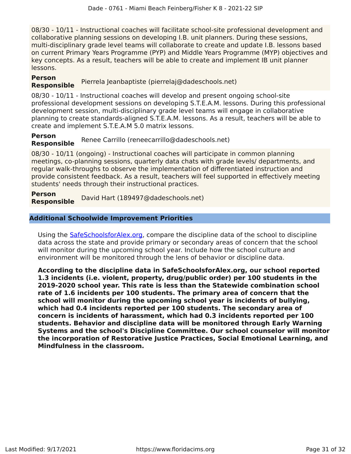08/30 - 10/11 - Instructional coaches will facilitate school-site professional development and collaborative planning sessions on developing I.B. unit planners. During these sessions, multi-disciplinary grade level teams will collaborate to create and update I.B. lessons based on current Primary Years Programme (PYP) and Middle Years Programme (MYP) objectives and key concepts. As a result, teachers will be able to create and implement IB unit planner lessons.

### **Person**

# **Responsible** Pierrela Jeanbaptiste (pierrelaj@dadeschools.net)

08/30 - 10/11 - Instructional coaches will develop and present ongoing school-site professional development sessions on developing S.T.E.A.M. lessons. During this professional development session, multi-disciplinary grade level teams will engage in collaborative planning to create standards-aligned S.T.E.A.M. lessons. As a result, teachers will be able to create and implement S.T.E.A.M 5.0 matrix lessons.

**Person Responsible** Renee Carrillo (reneecarrillo@dadeschools.net)

08/30 - 10/11 (ongoing) - Instructional coaches will participate in common planning meetings, co-planning sessions, quarterly data chats with grade levels/ departments, and regular walk-throughs to observe the implementation of differentiated instruction and provide consistent feedback. As a result, teachers will feel supported in effectively meeting students' needs through their instructional practices.

**Person Responsible** David Hart (189497@dadeschools.net)

#### **Additional Schoolwide Improvement Priorities**

Using the [SafeSchoolsforAlex.org,](https://www.safeschoolsforalex.org/fl-school-safety-dashboard/) compare the discipline data of the school to discipline data across the state and provide primary or secondary areas of concern that the school will monitor during the upcoming school year. Include how the school culture and environment will be monitored through the lens of behavior or discipline data.

**According to the discipline data in SafeSchoolsforAlex.org, our school reported 1.3 incidents (i.e. violent, property, drug/public order) per 100 students in the 2019-2020 school year. This rate is less than the Statewide combination school rate of 1.6 incidents per 100 students. The primary area of concern that the school will monitor during the upcoming school year is incidents of bullying, which had 0.4 incidents reported per 100 students. The secondary area of concern is incidents of harassment, which had 0.3 incidents reported per 100 students. Behavior and discipline data will be monitored through Early Warning Systems and the school's Discipline Committee. Our school counselor will monitor the incorporation of Restorative Justice Practices, Social Emotional Learning, and Mindfulness in the classroom.**